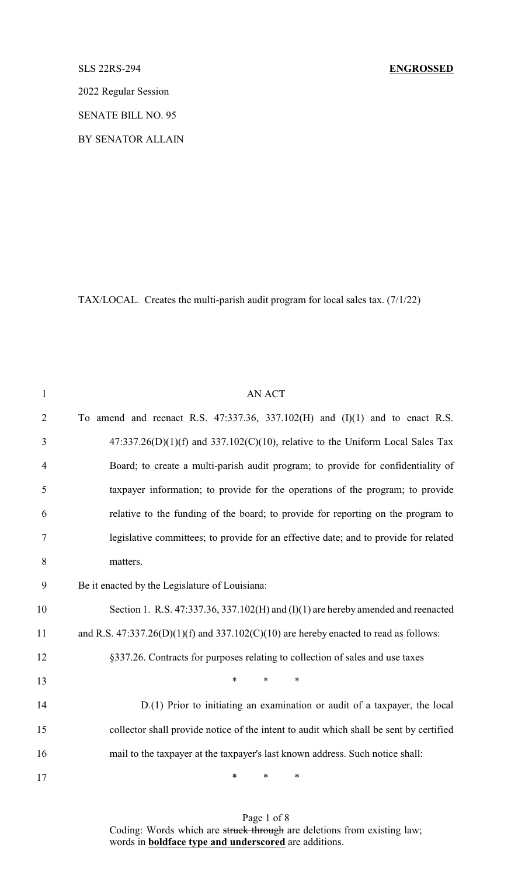2022 Regular Session

SENATE BILL NO. 95

BY SENATOR ALLAIN

TAX/LOCAL. Creates the multi-parish audit program for local sales tax. (7/1/22)

| $\mathbf{1}$   | <b>AN ACT</b>                                                                             |
|----------------|-------------------------------------------------------------------------------------------|
| $\overline{2}$ | To amend and reenact R.S. $47:337.36$ , $337.102(H)$ and $(I)(1)$ and to enact R.S.       |
| 3              | $47:337.26(D)(1)(f)$ and $337.102(C)(10)$ , relative to the Uniform Local Sales Tax       |
| $\overline{4}$ | Board; to create a multi-parish audit program; to provide for confidentiality of          |
| 5              | taxpayer information; to provide for the operations of the program; to provide            |
| 6              | relative to the funding of the board; to provide for reporting on the program to          |
| 7              | legislative committees; to provide for an effective date; and to provide for related      |
| 8              | matters.                                                                                  |
| 9              | Be it enacted by the Legislature of Louisiana:                                            |
| 10             | Section 1. R.S. $47:337.36$ , $337.102(H)$ and $(I)(1)$ are hereby amended and reenacted  |
| 11             | and R.S. $47:337.26(D)(1)(f)$ and $337.102(C)(10)$ are hereby enacted to read as follows: |
| 12             | §337.26. Contracts for purposes relating to collection of sales and use taxes             |
| 13             | $*$ $*$<br>$\ast$<br>∗                                                                    |
| 14             | D.(1) Prior to initiating an examination or audit of a taxpayer, the local                |
| 15             | collector shall provide notice of the intent to audit which shall be sent by certified    |
| 16             | mail to the taxpayer at the taxpayer's last known address. Such notice shall:             |
| 17             | $\ast$<br>$\ast$<br>∗                                                                     |

Page 1 of 8 Coding: Words which are struck through are deletions from existing law; words in **boldface type and underscored** are additions.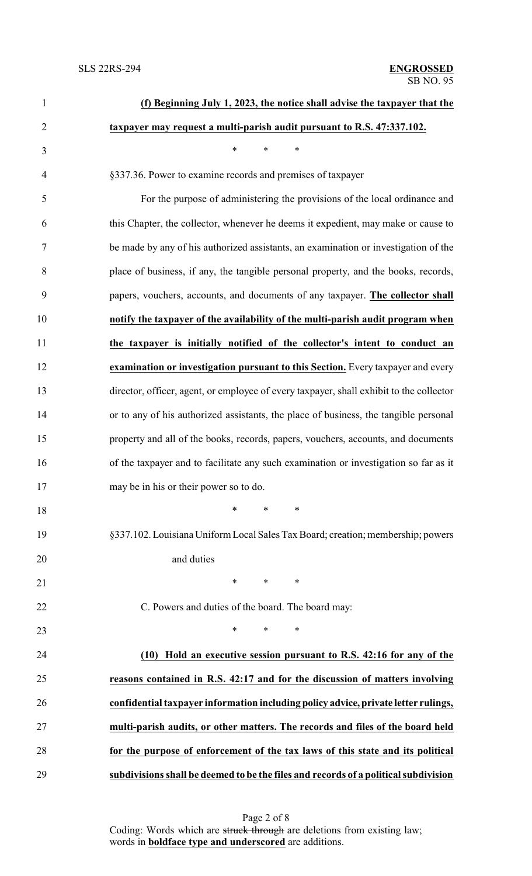| $\mathbf{1}$   | (f) Beginning July 1, 2023, the notice shall advise the taxpayer that the               |
|----------------|-----------------------------------------------------------------------------------------|
| $\overline{2}$ | taxpayer may request a multi-parish audit pursuant to R.S. 47:337.102.                  |
| 3              | $\ast$<br>$\ast$<br>$\ast$                                                              |
| $\overline{4}$ | §337.36. Power to examine records and premises of taxpayer                              |
| 5              | For the purpose of administering the provisions of the local ordinance and              |
| 6              | this Chapter, the collector, whenever he deems it expedient, may make or cause to       |
| $\tau$         | be made by any of his authorized assistants, an examination or investigation of the     |
| 8              | place of business, if any, the tangible personal property, and the books, records,      |
| 9              | papers, vouchers, accounts, and documents of any taxpayer. The collector shall          |
| 10             | notify the taxpayer of the availability of the multi-parish audit program when          |
| 11             | the taxpayer is initially notified of the collector's intent to conduct an              |
| 12             | examination or investigation pursuant to this Section. Every taxpayer and every         |
| 13             | director, officer, agent, or employee of every taxpayer, shall exhibit to the collector |
| 14             | or to any of his authorized assistants, the place of business, the tangible personal    |
| 15             | property and all of the books, records, papers, vouchers, accounts, and documents       |
| 16             | of the taxpayer and to facilitate any such examination or investigation so far as it    |
| 17             | may be in his or their power so to do.                                                  |
| 18             | $\ast$<br>∗<br>∗                                                                        |
| 19             | §337.102. Louisiana Uniform Local Sales Tax Board; creation; membership; powers         |
| 20             | and duties                                                                              |
| 21             | $\ast$<br>$\ast$<br>∗                                                                   |
| 22             | C. Powers and duties of the board. The board may:                                       |
| 23             | $\ast$<br>∗<br>∗                                                                        |
| 24             | (10) Hold an executive session pursuant to R.S. 42:16 for any of the                    |
| 25             | reasons contained in R.S. 42:17 and for the discussion of matters involving             |
| 26             | confidential taxpayer information including policy advice, private letter rulings,      |
| 27             | multi-parish audits, or other matters. The records and files of the board held          |
| 28             | for the purpose of enforcement of the tax laws of this state and its political          |
| 29             | subdivisions shall be deemed to be the files and records of a political subdivision     |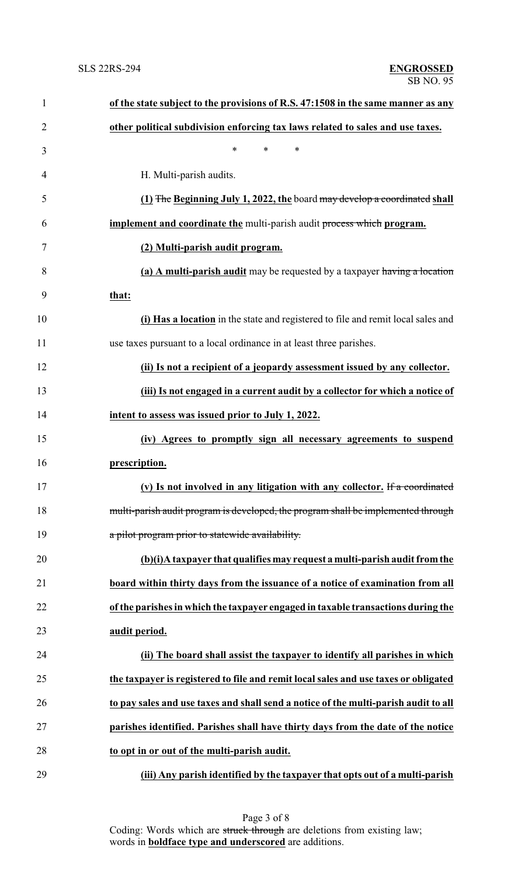| $\mathbf{1}$   | of the state subject to the provisions of R.S. 47:1508 in the same manner as any    |
|----------------|-------------------------------------------------------------------------------------|
| $\overline{2}$ | other political subdivision enforcing tax laws related to sales and use taxes.      |
| 3              | $\ast$<br>$\ast$<br>∗                                                               |
| 4              | H. Multi-parish audits.                                                             |
| 5              | (1) The Beginning July 1, 2022, the board may develop a coordinated shall           |
| 6              | implement and coordinate the multi-parish audit process which program.              |
| 7              | (2) Multi-parish audit program.                                                     |
| 8              | (a) A multi-parish audit may be requested by a taxpayer having a location           |
| 9              | that:                                                                               |
| 10             | (i) Has a location in the state and registered to file and remit local sales and    |
| 11             | use taxes pursuant to a local ordinance in at least three parishes.                 |
| 12             | (ii) Is not a recipient of a jeopardy assessment issued by any collector.           |
| 13             | (iii) Is not engaged in a current audit by a collector for which a notice of        |
| 14             | intent to assess was issued prior to July 1, 2022.                                  |
| 15             | (iv) Agrees to promptly sign all necessary agreements to suspend                    |
| 16             | prescription.                                                                       |
| 17             | (v) Is not involved in any litigation with any collector. If a coordinated          |
| 18             | multi-parish audit program is developed, the program shall be implemented through   |
| 19             | a pilot program prior to statewide availability.                                    |
| 20             | (b)(i)A taxpayer that qualifies may request a multi-parish audit from the           |
| 21             | board within thirty days from the issuance of a notice of examination from all      |
| 22             | of the parishes in which the taxpayer engaged in taxable transactions during the    |
| 23             | audit period.                                                                       |
| 24             | (ii) The board shall assist the taxpayer to identify all parishes in which          |
| 25             | the taxpayer is registered to file and remit local sales and use taxes or obligated |
| 26             | to pay sales and use taxes and shall send a notice of the multi-parish audit to all |
| 27             | parishes identified. Parishes shall have thirty days from the date of the notice    |
| 28             | to opt in or out of the multi-parish audit.                                         |
| 29             | (iii) Any parish identified by the taxpayer that opts out of a multi-parish         |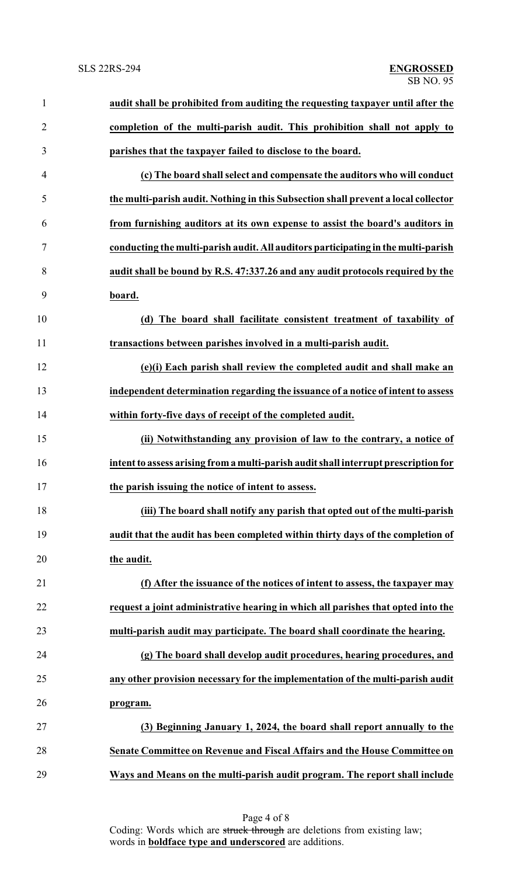| $\mathbf{1}$   | audit shall be prohibited from auditing the requesting taxpayer until after the     |
|----------------|-------------------------------------------------------------------------------------|
| $\overline{2}$ | completion of the multi-parish audit. This prohibition shall not apply to           |
| 3              | parishes that the taxpayer failed to disclose to the board.                         |
| 4              | (c) The board shall select and compensate the auditors who will conduct             |
| 5              | the multi-parish audit. Nothing in this Subsection shall prevent a local collector  |
| 6              | from furnishing auditors at its own expense to assist the board's auditors in       |
| 7              | conducting the multi-parish audit. All auditors participating in the multi-parish   |
| 8              | audit shall be bound by R.S. 47:337.26 and any audit protocols required by the      |
| 9              | board.                                                                              |
| 10             | (d) The board shall facilitate consistent treatment of taxability of                |
| 11             | transactions between parishes involved in a multi-parish audit.                     |
| 12             | (e)(i) Each parish shall review the completed audit and shall make an               |
| 13             | independent determination regarding the issuance of a notice of intent to assess    |
| 14             | within forty-five days of receipt of the completed audit.                           |
| 15             | (ii) Notwithstanding any provision of law to the contrary, a notice of              |
| 16             | intent to assess arising from a multi-parish audit shall interrupt prescription for |
| 17             | the parish issuing the notice of intent to assess.                                  |
| 18             | (iii) The board shall notify any parish that opted out of the multi-parish          |
| 19             | audit that the audit has been completed within thirty days of the completion of     |
| 20             | the audit.                                                                          |
| 21             | (f) After the issuance of the notices of intent to assess, the taxpayer may         |
| 22             | request a joint administrative hearing in which all parishes that opted into the    |
| 23             | multi-parish audit may participate. The board shall coordinate the hearing.         |
| 24             | (g) The board shall develop audit procedures, hearing procedures, and               |
| 25             | any other provision necessary for the implementation of the multi-parish audit      |
| 26             | program.                                                                            |
| 27             | (3) Beginning January 1, 2024, the board shall report annually to the               |
| 28             | Senate Committee on Revenue and Fiscal Affairs and the House Committee on           |
| 29             | Ways and Means on the multi-parish audit program. The report shall include          |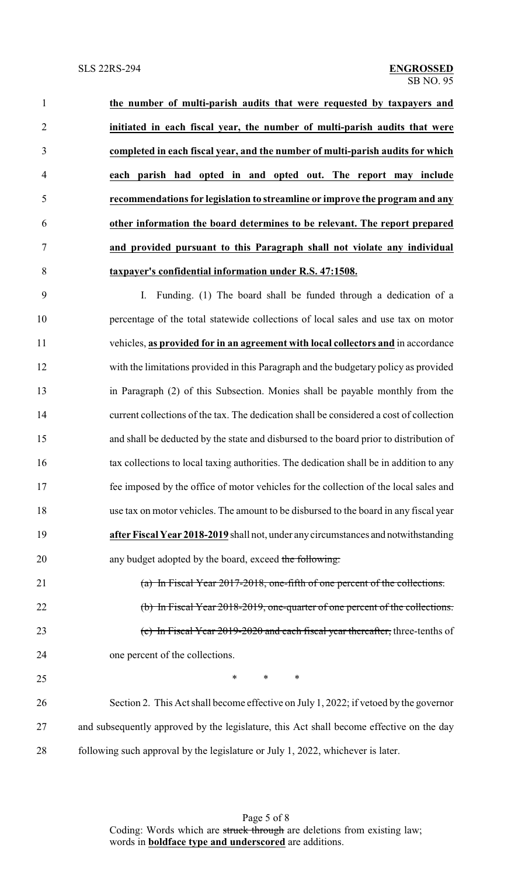**the number of multi-parish audits that were requested by taxpayers and initiated in each fiscal year, the number of multi-parish audits that were completed in each fiscal year, and the number of multi-parish audits for which each parish had opted in and opted out. The report may include recommendations for legislation to streamline or improve the program and any other information the board determines to be relevant. The report prepared and provided pursuant to this Paragraph shall not violate any individual taxpayer's confidential information under R.S. 47:1508.**

 I. Funding. (1) The board shall be funded through a dedication of a percentage of the total statewide collections of local sales and use tax on motor vehicles, **as provided for in an agreement with local collectors and** in accordance with the limitations provided in this Paragraph and the budgetary policy as provided in Paragraph (2) of this Subsection. Monies shall be payable monthly from the current collections of the tax. The dedication shall be considered a cost of collection and shall be deducted by the state and disbursed to the board prior to distribution of tax collections to local taxing authorities. The dedication shall be in addition to any fee imposed by the office of motor vehicles for the collection of the local sales and use tax on motor vehicles. The amount to be disbursed to the board in any fiscal year **after Fiscal Year 2018-2019** shall not, under anycircumstances and notwithstanding 20 any budget adopted by the board, exceed the following: (a) In Fiscal Year 2017-2018, one-fifth of one percent of the collections.

 (b) In Fiscal Year 2018-2019, one-quarter of one percent of the collections. (c) In Fiscal Year 2019-2020 and each fiscal year thereafter, three-tenths of one percent of the collections.

 $\ast$   $\ast$   $\ast$   $\ast$ 

 Section 2. This Act shall become effective on July 1, 2022; if vetoed by the governor and subsequently approved by the legislature, this Act shall become effective on the day following such approval by the legislature or July 1, 2022, whichever is later.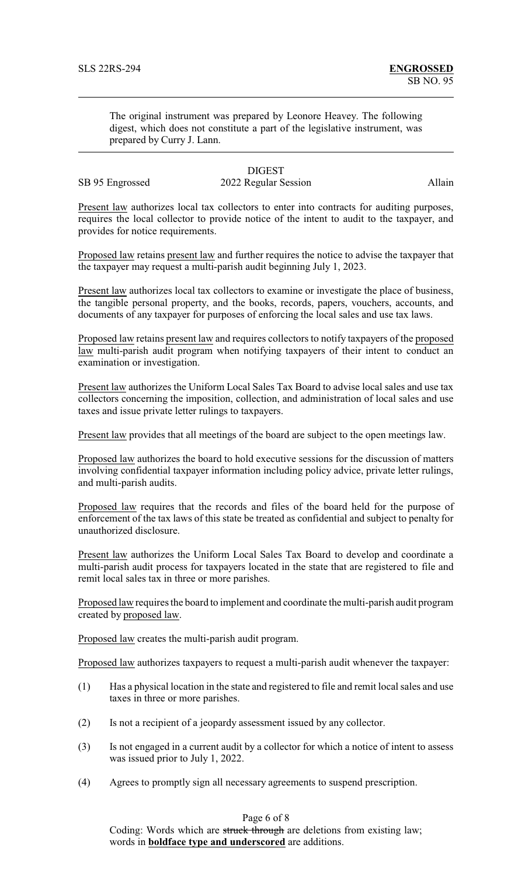The original instrument was prepared by Leonore Heavey. The following digest, which does not constitute a part of the legislative instrument, was prepared by Curry J. Lann.

SB 95 Engrossed 2022 Regular Session Allain

## **DIGEST**

Present law authorizes local tax collectors to enter into contracts for auditing purposes, requires the local collector to provide notice of the intent to audit to the taxpayer, and provides for notice requirements.

Proposed law retains present law and further requires the notice to advise the taxpayer that the taxpayer may request a multi-parish audit beginning July 1, 2023.

Present law authorizes local tax collectors to examine or investigate the place of business, the tangible personal property, and the books, records, papers, vouchers, accounts, and documents of any taxpayer for purposes of enforcing the local sales and use tax laws.

Proposed law retains present law and requires collectors to notify taxpayers of the proposed law multi-parish audit program when notifying taxpayers of their intent to conduct an examination or investigation.

Present law authorizes the Uniform Local Sales Tax Board to advise local sales and use tax collectors concerning the imposition, collection, and administration of local sales and use taxes and issue private letter rulings to taxpayers.

Present law provides that all meetings of the board are subject to the open meetings law.

Proposed law authorizes the board to hold executive sessions for the discussion of matters involving confidential taxpayer information including policy advice, private letter rulings, and multi-parish audits.

Proposed law requires that the records and files of the board held for the purpose of enforcement of the tax laws of this state be treated as confidential and subject to penalty for unauthorized disclosure.

Present law authorizes the Uniform Local Sales Tax Board to develop and coordinate a multi-parish audit process for taxpayers located in the state that are registered to file and remit local sales tax in three or more parishes.

Proposed law requires the board to implement and coordinate the multi-parish audit program created by proposed law.

Proposed law creates the multi-parish audit program.

Proposed law authorizes taxpayers to request a multi-parish audit whenever the taxpayer:

- (1) Has a physical location in the state and registered to file and remit local sales and use taxes in three or more parishes.
- (2) Is not a recipient of a jeopardy assessment issued by any collector.
- (3) Is not engaged in a current audit by a collector for which a notice of intent to assess was issued prior to July 1, 2022.
- (4) Agrees to promptly sign all necessary agreements to suspend prescription.

Page 6 of 8

Coding: Words which are struck through are deletions from existing law; words in **boldface type and underscored** are additions.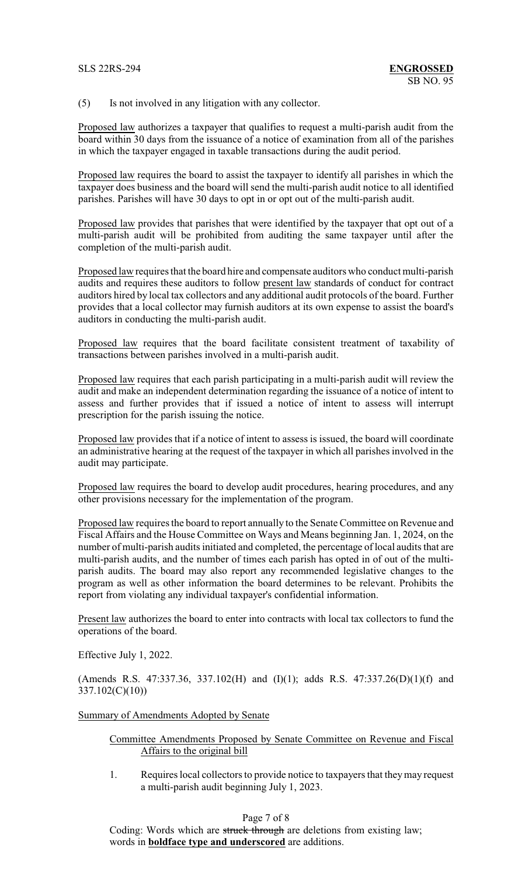(5) Is not involved in any litigation with any collector.

Proposed law authorizes a taxpayer that qualifies to request a multi-parish audit from the board within 30 days from the issuance of a notice of examination from all of the parishes in which the taxpayer engaged in taxable transactions during the audit period.

Proposed law requires the board to assist the taxpayer to identify all parishes in which the taxpayer does business and the board will send the multi-parish audit notice to all identified parishes. Parishes will have 30 days to opt in or opt out of the multi-parish audit.

Proposed law provides that parishes that were identified by the taxpayer that opt out of a multi-parish audit will be prohibited from auditing the same taxpayer until after the completion of the multi-parish audit.

Proposed law requires that the board hire and compensate auditors who conduct multi-parish audits and requires these auditors to follow present law standards of conduct for contract auditors hired by local tax collectors and any additional audit protocols of the board. Further provides that a local collector may furnish auditors at its own expense to assist the board's auditors in conducting the multi-parish audit.

Proposed law requires that the board facilitate consistent treatment of taxability of transactions between parishes involved in a multi-parish audit.

Proposed law requires that each parish participating in a multi-parish audit will review the audit and make an independent determination regarding the issuance of a notice of intent to assess and further provides that if issued a notice of intent to assess will interrupt prescription for the parish issuing the notice.

Proposed law provides that if a notice of intent to assess is issued, the board will coordinate an administrative hearing at the request of the taxpayer in which all parishes involved in the audit may participate.

Proposed law requires the board to develop audit procedures, hearing procedures, and any other provisions necessary for the implementation of the program.

Proposed law requires the board to report annually to the Senate Committee on Revenue and Fiscal Affairs and the House Committee on Ways and Means beginning Jan. 1, 2024, on the number of multi-parish audits initiated and completed, the percentage of local audits that are multi-parish audits, and the number of times each parish has opted in of out of the multiparish audits. The board may also report any recommended legislative changes to the program as well as other information the board determines to be relevant. Prohibits the report from violating any individual taxpayer's confidential information.

Present law authorizes the board to enter into contracts with local tax collectors to fund the operations of the board.

Effective July 1, 2022.

(Amends R.S. 47:337.36, 337.102(H) and  $(I)(1)$ ; adds R.S. 47:337.26(D)(1)(f) and 337.102(C)(10))

Summary of Amendments Adopted by Senate

## Committee Amendments Proposed by Senate Committee on Revenue and Fiscal Affairs to the original bill

1. Requires local collectors to provide notice to taxpayers that theymay request a multi-parish audit beginning July 1, 2023.

## Page 7 of 8

Coding: Words which are struck through are deletions from existing law; words in **boldface type and underscored** are additions.